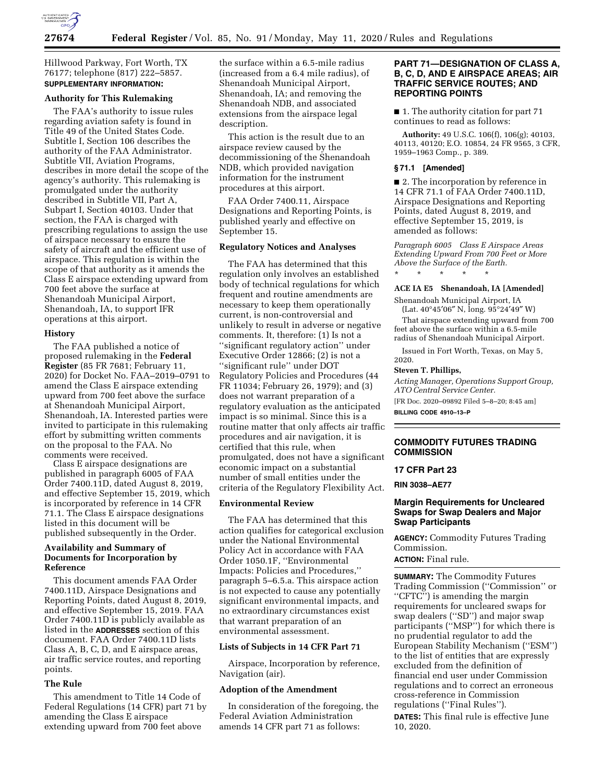

Hillwood Parkway, Fort Worth, TX 76177; telephone (817) 222–5857. **SUPPLEMENTARY INFORMATION:** 

## **Authority for This Rulemaking**

The FAA's authority to issue rules regarding aviation safety is found in Title 49 of the United States Code. Subtitle I, Section 106 describes the authority of the FAA Administrator. Subtitle VII, Aviation Programs, describes in more detail the scope of the agency's authority. This rulemaking is promulgated under the authority described in Subtitle VII, Part A, Subpart I, Section 40103. Under that section, the FAA is charged with prescribing regulations to assign the use of airspace necessary to ensure the safety of aircraft and the efficient use of airspace. This regulation is within the scope of that authority as it amends the Class E airspace extending upward from 700 feet above the surface at Shenandoah Municipal Airport, Shenandoah, IA, to support IFR operations at this airport.

### **History**

The FAA published a notice of proposed rulemaking in the **Federal Register** (85 FR 7681; February 11, 2020) for Docket No. FAA–2019–0791 to amend the Class E airspace extending upward from 700 feet above the surface at Shenandoah Municipal Airport, Shenandoah, IA. Interested parties were invited to participate in this rulemaking effort by submitting written comments on the proposal to the FAA. No comments were received.

Class E airspace designations are published in paragraph 6005 of FAA Order 7400.11D, dated August 8, 2019, and effective September 15, 2019, which is incorporated by reference in 14 CFR 71.1. The Class E airspace designations listed in this document will be published subsequently in the Order.

# **Availability and Summary of Documents for Incorporation by Reference**

This document amends FAA Order 7400.11D, Airspace Designations and Reporting Points, dated August 8, 2019, and effective September 15, 2019. FAA Order 7400.11D is publicly available as listed in the **ADDRESSES** section of this document. FAA Order 7400.11D lists Class A, B, C, D, and E airspace areas, air traffic service routes, and reporting points.

## **The Rule**

This amendment to Title 14 Code of Federal Regulations (14 CFR) part 71 by amending the Class E airspace extending upward from 700 feet above

the surface within a 6.5-mile radius (increased from a 6.4 mile radius), of Shenandoah Municipal Airport, Shenandoah, IA; and removing the Shenandoah NDB, and associated extensions from the airspace legal description.

This action is the result due to an airspace review caused by the decommissioning of the Shenandoah NDB, which provided navigation information for the instrument procedures at this airport.

FAA Order 7400.11, Airspace Designations and Reporting Points, is published yearly and effective on September 15.

# **Regulatory Notices and Analyses**

The FAA has determined that this regulation only involves an established body of technical regulations for which frequent and routine amendments are necessary to keep them operationally current, is non-controversial and unlikely to result in adverse or negative comments. It, therefore: (1) Is not a ''significant regulatory action'' under Executive Order 12866; (2) is not a ''significant rule'' under DOT Regulatory Policies and Procedures (44 FR 11034; February 26, 1979); and (3) does not warrant preparation of a regulatory evaluation as the anticipated impact is so minimal. Since this is a routine matter that only affects air traffic procedures and air navigation, it is certified that this rule, when promulgated, does not have a significant economic impact on a substantial number of small entities under the criteria of the Regulatory Flexibility Act.

## **Environmental Review**

The FAA has determined that this action qualifies for categorical exclusion under the National Environmental Policy Act in accordance with FAA Order 1050.1F, ''Environmental Impacts: Policies and Procedures,'' paragraph 5–6.5.a. This airspace action is not expected to cause any potentially significant environmental impacts, and no extraordinary circumstances exist that warrant preparation of an environmental assessment.

## **Lists of Subjects in 14 CFR Part 71**

Airspace, Incorporation by reference, Navigation (air).

# **Adoption of the Amendment**

In consideration of the foregoing, the Federal Aviation Administration amends 14 CFR part 71 as follows:

# **PART 71—DESIGNATION OF CLASS A, B, C, D, AND E AIRSPACE AREAS; AIR TRAFFIC SERVICE ROUTES; AND REPORTING POINTS**

■ 1. The authority citation for part 71 continues to read as follows:

**Authority:** 49 U.S.C. 106(f), 106(g); 40103, 40113, 40120; E.O. 10854, 24 FR 9565, 3 CFR, 1959–1963 Comp., p. 389.

### **§ 71.1 [Amended]**

■ 2. The incorporation by reference in 14 CFR 71.1 of FAA Order 7400.11D, Airspace Designations and Reporting Points, dated August 8, 2019, and effective September 15, 2019, is amended as follows:

*Paragraph 6005 Class E Airspace Areas Extending Upward From 700 Feet or More Above the Surface of the Earth.* 

\* \* \* \* \*

## **ACE IA E5 Shenandoah, IA [Amended]**

Shenandoah Municipal Airport, IA (Lat. 40°45′06″ N, long. 95°24′49″ W)

That airspace extending upward from 700 feet above the surface within a 6.5-mile radius of Shenandoah Municipal Airport.

Issued in Fort Worth, Texas, on May 5, 2020.

### **Steven T. Phillips,**

*Acting Manager, Operations Support Group, ATO Central Service Center.* 

[FR Doc. 2020–09892 Filed 5–8–20; 8:45 am]

**BILLING CODE 4910–13–P** 

## **COMMODITY FUTURES TRADING COMMISSION**

### **17 CFR Part 23**

**RIN 3038–AE77** 

# **Margin Requirements for Uncleared Swaps for Swap Dealers and Major Swap Participants**

**AGENCY:** Commodity Futures Trading Commission.

#### **ACTION:** Final rule.

**SUMMARY:** The Commodity Futures Trading Commission (''Commission'' or ''CFTC'') is amending the margin requirements for uncleared swaps for swap dealers (''SD'') and major swap participants (''MSP'') for which there is no prudential regulator to add the European Stability Mechanism (''ESM'') to the list of entities that are expressly excluded from the definition of financial end user under Commission regulations and to correct an erroneous cross-reference in Commission regulations (''Final Rules''). **DATES:** This final rule is effective June 10, 2020.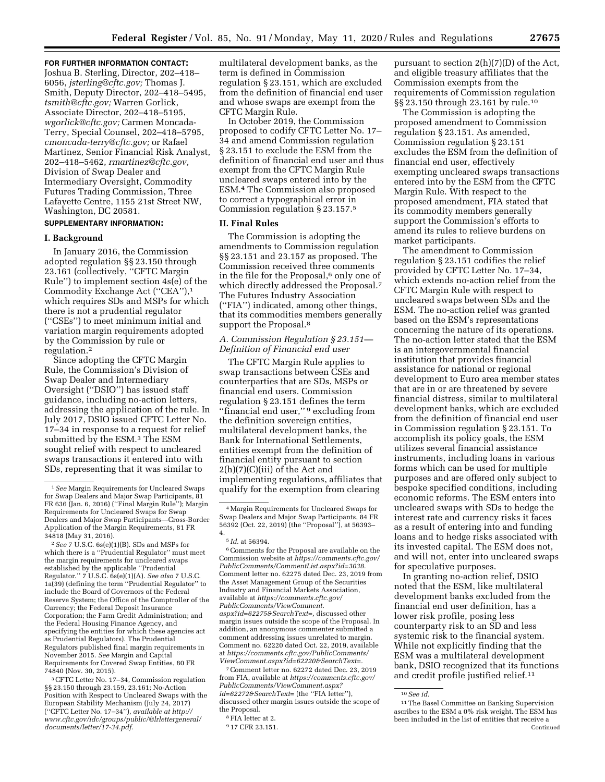### **FOR FURTHER INFORMATION CONTACT:**

Joshua B. Sterling, Director, 202–418– 6056, *[jsterling@cftc.gov;](mailto:jsterling@cftc.gov)* Thomas J. Smith, Deputy Director, 202–418–5495, *[tsmith@cftc.gov;](mailto:tsmith@cftc.gov)* Warren Gorlick, Associate Director, 202–418–5195, *[wgorlick@cftc.gov;](mailto:wgorlick@cftc.gov)* Carmen Moncada-Terry, Special Counsel, 202–418–5795, *[cmoncada-terry@cftc.gov;](mailto:cmoncada-terry@cftc.gov)* or Rafael Martinez, Senior Financial Risk Analyst, 202–418–5462, *[rmartinez@cftc.gov,](mailto:rmartinez@cftc.gov)*  Division of Swap Dealer and Intermediary Oversight, Commodity Futures Trading Commission, Three Lafayette Centre, 1155 21st Street NW, Washington, DC 20581.

# **SUPPLEMENTARY INFORMATION:**

## **I. Background**

In January 2016, the Commission adopted regulation §§ 23.150 through 23.161 (collectively, ''CFTC Margin Rule'') to implement section 4s(e) of the Commodity Exchange Act (''CEA''),1 which requires SDs and MSPs for which there is not a prudential regulator (''CSEs'') to meet minimum initial and variation margin requirements adopted by the Commission by rule or regulation.2

Since adopting the CFTC Margin Rule, the Commission's Division of Swap Dealer and Intermediary Oversight (''DSIO'') has issued staff guidance, including no-action letters, addressing the application of the rule. In July 2017, DSIO issued CFTC Letter No. 17–34 in response to a request for relief submitted by the ESM.<sup>3</sup> The ESM sought relief with respect to uncleared swaps transactions it entered into with SDs, representing that it was similar to

2*See* 7 U.S.C. 6s(e)(1)(B). SDs and MSPs for which there is a "Prudential Regulator" must meet the margin requirements for uncleared swaps established by the applicable ''Prudential Regulator.'' 7 U.S.C. 6s(e)(1)(A). *See also* 7 U.S.C.  $1a(39)$  (defining the term "Prudential Regulator" include the Board of Governors of the Federal Reserve System; the Office of the Comptroller of the Currency; the Federal Deposit Insurance Corporation; the Farm Credit Administration; and the Federal Housing Finance Agency, and specifying the entities for which these agencies act as Prudential Regulators). The Prudential Regulators published final margin requirements in November 2015. *See* Margin and Capital Requirements for Covered Swap Entities, 80 FR 74840 (Nov. 30, 2015).

3CFTC Letter No. 17–34, Commission regulation §§ 23.150 through 23.159, 23.161; No-Action Position with Respect to Uncleared Swaps with the European Stability Mechanism (July 24, 2017) (''CFTC Letter No. 17–34''), *available at [http://](http://www.cftc.gov/idc/groups/public/@lrlettergeneral/documents/letter/17-34.pdf) [www.cftc.gov/idc/groups/public/@lrlettergeneral/](http://www.cftc.gov/idc/groups/public/@lrlettergeneral/documents/letter/17-34.pdf)  [documents/letter/17-34.pdf.](http://www.cftc.gov/idc/groups/public/@lrlettergeneral/documents/letter/17-34.pdf)* 

multilateral development banks, as the term is defined in Commission regulation § 23.151, which are excluded from the definition of financial end user and whose swaps are exempt from the CFTC Margin Rule.

In October 2019, the Commission proposed to codify CFTC Letter No. 17– 34 and amend Commission regulation § 23.151 to exclude the ESM from the definition of financial end user and thus exempt from the CFTC Margin Rule uncleared swaps entered into by the ESM.4 The Commission also proposed to correct a typographical error in Commission regulation § 23.157.5

### **II. Final Rules**

The Commission is adopting the amendments to Commission regulation §§ 23.151 and 23.157 as proposed. The Commission received three comments in the file for the Proposal,<sup>6</sup> only one of which directly addressed the Proposal.<sup>7</sup> The Futures Industry Association (''FIA'') indicated, among other things, that its commodities members generally support the Proposal.<sup>8</sup>

## *A. Commission Regulation § 23.151— Definition of Financial end user*

The CFTC Margin Rule applies to swap transactions between CSEs and counterparties that are SDs, MSPs or financial end users. Commission regulation § 23.151 defines the term ''financial end user,'' 9 excluding from the definition sovereign entities, multilateral development banks, the Bank for International Settlements, entities exempt from the definition of financial entity pursuant to section  $2(h)(7)(C)(iii)$  of the Act and implementing regulations, affiliates that qualify for the exemption from clearing

6Comments for the Proposal are available on the Commission website at *[https://comments.cftc.gov/](https://comments.cftc.gov/PublicComments/CommentList.aspx?id=3038) [PublicComments/CommentList.aspx?id=3038.](https://comments.cftc.gov/PublicComments/CommentList.aspx?id=3038)*  Comment letter no. 62275 dated Dec. 23, 2019 from the Asset Management Group of the Securities Industry and Financial Markets Association, available at *[https://comments.cftc.gov/](https://comments.cftc.gov/PublicComments/ViewComment.aspx?id=62275&SearchText=)  [PublicComments/ViewComment.](https://comments.cftc.gov/PublicComments/ViewComment.aspx?id=62275&SearchText=) [aspx?id=62275&SearchText=,](https://comments.cftc.gov/PublicComments/ViewComment.aspx?id=62275&SearchText=)* discussed other margin issues outside the scope of the Proposal. In addition, an anonymous commenter submitted a comment addressing issues unrelated to margin. Comment no. 62220 dated Oct. 22, 2019, available at *[https://comments.cftc.gov/PublicComments/](https://comments.cftc.gov/PublicComments/ViewComment.aspx?id=62220&SearchText=) [ViewComment.aspx?id=62220&SearchText=.](https://comments.cftc.gov/PublicComments/ViewComment.aspx?id=62220&SearchText=)* 

7Comment letter no. 62272 dated Dec. 23, 2019 from FIA, available at *[https://comments.cftc.gov/](https://comments.cftc.gov/PublicComments/ViewComment.aspx?id=62272&SearchText=)  [PublicComments/ViewComment.aspx?](https://comments.cftc.gov/PublicComments/ViewComment.aspx?id=62272&SearchText=) [id=62272&SearchText=](https://comments.cftc.gov/PublicComments/ViewComment.aspx?id=62272&SearchText=)* (the ''FIA letter''), discussed other margin issues outside the scope of the Proposal.

pursuant to section 2(h)(7)(D) of the Act, and eligible treasury affiliates that the Commission exempts from the requirements of Commission regulation §§ 23.150 through 23.161 by rule.10

The Commission is adopting the proposed amendment to Commission regulation § 23.151. As amended, Commission regulation § 23.151 excludes the ESM from the definition of financial end user, effectively exempting uncleared swaps transactions entered into by the ESM from the CFTC Margin Rule. With respect to the proposed amendment, FIA stated that its commodity members generally support the Commission's efforts to amend its rules to relieve burdens on market participants.

The amendment to Commission regulation § 23.151 codifies the relief provided by CFTC Letter No. 17–34, which extends no-action relief from the CFTC Margin Rule with respect to uncleared swaps between SDs and the ESM. The no-action relief was granted based on the ESM's representations concerning the nature of its operations. The no-action letter stated that the ESM is an intergovernmental financial institution that provides financial assistance for national or regional development to Euro area member states that are in or are threatened by severe financial distress, similar to multilateral development banks, which are excluded from the definition of financial end user in Commission regulation § 23.151. To accomplish its policy goals, the ESM utilizes several financial assistance instruments, including loans in various forms which can be used for multiple purposes and are offered only subject to bespoke specified conditions, including economic reforms. The ESM enters into uncleared swaps with SDs to hedge the interest rate and currency risks it faces as a result of entering into and funding loans and to hedge risks associated with its invested capital. The ESM does not, and will not, enter into uncleared swaps for speculative purposes.

In granting no-action relief, DSIO noted that the ESM, like multilateral development banks excluded from the financial end user definition, has a lower risk profile, posing less counterparty risk to an SD and less systemic risk to the financial system. While not explicitly finding that the ESM was a multilateral development bank, DSIO recognized that its functions and credit profile justified relief.11

<sup>1</sup>*See* Margin Requirements for Uncleared Swaps for Swap Dealers and Major Swap Participants, 81 FR 636 (Jan. 6, 2016) (''Final Margin Rule''); Margin Requirements for Uncleared Swaps for Swap Dealers and Major Swap Participants—Cross-Border Application of the Margin Requirements, 81 FR 34818 (May 31, 2016).

<sup>4</sup>Margin Requirements for Uncleared Swaps for Swap Dealers and Major Swap Participants, 84 FR 56392 (Oct. 22, 2019) (the ''Proposal''), at 56393– 4.

<sup>5</sup> *Id.* at 56394.

<sup>8</sup>FIA letter at 2.

<sup>9</sup> 17 CFR 23.151.

<sup>10</sup>*See id.* 

<sup>11</sup>The Basel Committee on Banking Supervision ascribes to the ESM a 0% risk weight. The ESM has been included in the list of entities that receive a Continued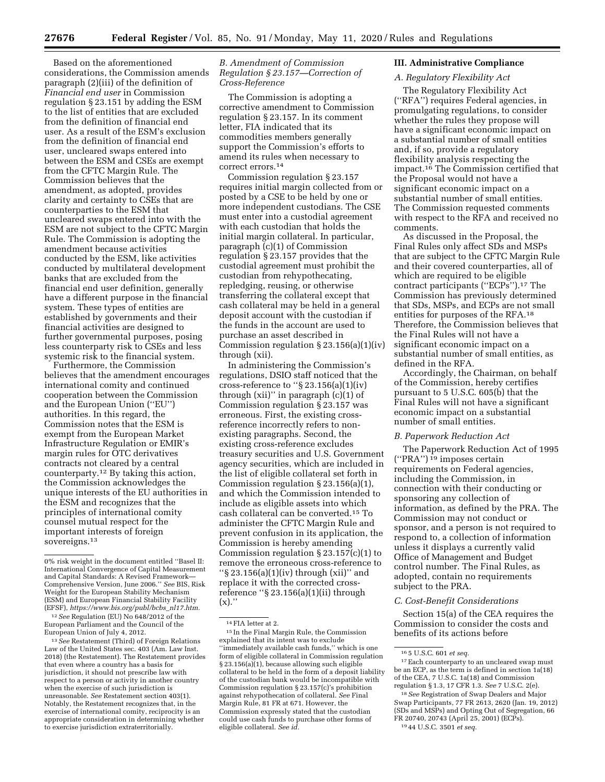Based on the aforementioned considerations, the Commission amends paragraph (2)(iii) of the definition of *Financial end user* in Commission regulation § 23.151 by adding the ESM to the list of entities that are excluded from the definition of financial end user. As a result of the ESM's exclusion from the definition of financial end user, uncleared swaps entered into between the ESM and CSEs are exempt from the CFTC Margin Rule. The Commission believes that the amendment, as adopted, provides clarity and certainty to CSEs that are counterparties to the ESM that uncleared swaps entered into with the ESM are not subject to the CFTC Margin Rule. The Commission is adopting the amendment because activities conducted by the ESM, like activities conducted by multilateral development banks that are excluded from the financial end user definition, generally have a different purpose in the financial system. These types of entities are established by governments and their financial activities are designed to further governmental purposes, posing less counterparty risk to CSEs and less systemic risk to the financial system.

Furthermore, the Commission believes that the amendment encourages international comity and continued cooperation between the Commission and the European Union (''EU'') authorities. In this regard, the Commission notes that the ESM is exempt from the European Market Infrastructure Regulation or EMIR's margin rules for OTC derivatives contracts not cleared by a central counterparty.12 By taking this action, the Commission acknowledges the unique interests of the EU authorities in the ESM and recognizes that the principles of international comity counsel mutual respect for the important interests of foreign sovereigns.13

12*See* Regulation (EU) No 648/2012 of the European Parliament and the Council of the European Union of July 4, 2012.

13*See* Restatement (Third) of Foreign Relations Law of the United States sec. 403 (Am. Law Inst. 2018) (the Restatement). The Restatement provides that even where a country has a basis for jurisdiction, it should not prescribe law with respect to a person or activity in another country when the exercise of such jurisdiction is unreasonable. *See* Restatement section 403(1). Notably, the Restatement recognizes that, in the exercise of international comity, reciprocity is an appropriate consideration in determining whether to exercise jurisdiction extraterritorially.

*B. Amendment of Commission Regulation § 23.157—Correction of Cross-Reference* 

The Commission is adopting a corrective amendment to Commission regulation § 23.157. In its comment letter, FIA indicated that its commodities members generally support the Commission's efforts to amend its rules when necessary to correct errors.14

Commission regulation § 23.157 requires initial margin collected from or posted by a CSE to be held by one or more independent custodians. The CSE must enter into a custodial agreement with each custodian that holds the initial margin collateral. In particular, paragraph (c)(1) of Commission regulation § 23.157 provides that the custodial agreement must prohibit the custodian from rehypothecating, repledging, reusing, or otherwise transferring the collateral except that cash collateral may be held in a general deposit account with the custodian if the funds in the account are used to purchase an asset described in Commission regulation § 23.156(a)(1)(iv) through (xii).

In administering the Commission's regulations, DSIO staff noticed that the cross-reference to ''§ 23.156(a)(1)(iv) through  $(xii)$ " in paragraph  $(c)(1)$  of Commission regulation § 23.157 was erroneous. First, the existing crossreference incorrectly refers to nonexisting paragraphs. Second, the existing cross-reference excludes treasury securities and U.S. Government agency securities, which are included in the list of eligible collateral set forth in Commission regulation § 23.156(a)(1), and which the Commission intended to include as eligible assets into which cash collateral can be converted.15 To administer the CFTC Margin Rule and prevent confusion in its application, the Commission is hereby amending Commission regulation  $\S 23.157(c)(1)$  to remove the erroneous cross-reference to ''§ 23.156(a)(1)(iv) through (xii)'' and replace it with the corrected crossreference ''§ 23.156(a)(1)(ii) through  $(x)$ ."

# **III. Administrative Compliance**

# *A. Regulatory Flexibility Act*

The Regulatory Flexibility Act (''RFA'') requires Federal agencies, in promulgating regulations, to consider whether the rules they propose will have a significant economic impact on a substantial number of small entities and, if so, provide a regulatory flexibility analysis respecting the impact.16 The Commission certified that the Proposal would not have a significant economic impact on a substantial number of small entities. The Commission requested comments with respect to the RFA and received no comments.

As discussed in the Proposal, the Final Rules only affect SDs and MSPs that are subject to the CFTC Margin Rule and their covered counterparties, all of which are required to be eligible contract participants (''ECPs'').17 The Commission has previously determined that SDs, MSPs, and ECPs are not small entities for purposes of the RFA.18 Therefore, the Commission believes that the Final Rules will not have a significant economic impact on a substantial number of small entities, as defined in the RFA.

Accordingly, the Chairman, on behalf of the Commission, hereby certifies pursuant to 5 U.S.C. 605(b) that the Final Rules will not have a significant economic impact on a substantial number of small entities.

## *B. Paperwork Reduction Act*

The Paperwork Reduction Act of 1995  $("PRA")<sup>19</sup>$  imposes certain requirements on Federal agencies, including the Commission, in connection with their conducting or sponsoring any collection of information, as defined by the PRA. The Commission may not conduct or sponsor, and a person is not required to respond to, a collection of information unless it displays a currently valid Office of Management and Budget control number. The Final Rules, as adopted, contain no requirements subject to the PRA.

# *C. Cost-Benefit Considerations*

Section 15(a) of the CEA requires the Commission to consider the costs and benefits of its actions before

<sup>0%</sup> risk weight in the document entitled ''Basel II: International Convergence of Capital Measurement and Capital Standards: A Revised Framework— Comprehensive Version, June 2006.'' *See* BIS, Risk Weight for the European Stability Mechanism (ESM) and European Financial Stability Facility (EFSF), *[https://www.bis.org/publ/bcbs](https://www.bis.org/publ/bcbs_nl17.htm)*\_*nl17.htm.* 

<sup>14</sup>FIA letter at 2.

<sup>15</sup> In the Final Margin Rule, the Commission explained that its intent was to exclude ''immediately available cash funds,'' which is one form of eligible collateral in Commission regulation § 23.156(a)(1), because allowing such eligible collateral to be held in the form of a deposit liability of the custodian bank would be incompatible with Commission regulation § 23.157(c)'s prohibition against rehypothecation of collateral. *See* Final Margin Rule, 81 FR at 671. However, the Commission expressly stated that the custodian could use cash funds to purchase other forms of eligible collateral. *See id.* 

<sup>16</sup> 5 U.S.C. 601 *et seq.* 

<sup>&</sup>lt;sup>17</sup> Each counterparty to an uncleared swap must be an ECP, as the term is defined in section 1a(18) of the CEA, 7 U.S.C. 1a(18) and Commission regulation § 1.3, 17 CFR 1.3. *See* 7 U.S.C. 2(e).

<sup>18</sup>*See* Registration of Swap Dealers and Major Swap Participants, 77 FR 2613, 2620 (Jan. 19, 2012) (SDs and MSPs) and Opting Out of Segregation, 66 FR 20740, 20743 (April 25, 2001) (ECPs). 19 44 U.S.C. 3501 *et seq.*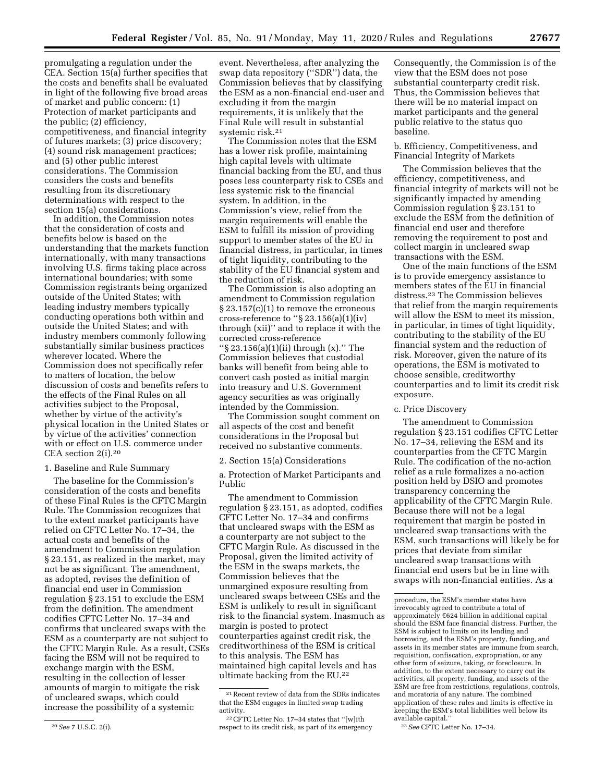promulgating a regulation under the CEA. Section 15(a) further specifies that the costs and benefits shall be evaluated in light of the following five broad areas of market and public concern: (1) Protection of market participants and the public; (2) efficiency, competitiveness, and financial integrity of futures markets; (3) price discovery; (4) sound risk management practices; and (5) other public interest considerations. The Commission considers the costs and benefits resulting from its discretionary determinations with respect to the

section 15(a) considerations. In addition, the Commission notes that the consideration of costs and benefits below is based on the understanding that the markets function internationally, with many transactions involving U.S. firms taking place across international boundaries; with some Commission registrants being organized outside of the United States; with leading industry members typically conducting operations both within and outside the United States; and with industry members commonly following substantially similar business practices wherever located. Where the Commission does not specifically refer to matters of location, the below discussion of costs and benefits refers to the effects of the Final Rules on all activities subject to the Proposal, whether by virtue of the activity's physical location in the United States or by virtue of the activities' connection with or effect on U.S. commerce under CEA section 2(i).20

## 1. Baseline and Rule Summary

The baseline for the Commission's consideration of the costs and benefits of these Final Rules is the CFTC Margin Rule. The Commission recognizes that to the extent market participants have relied on CFTC Letter No. 17–34, the actual costs and benefits of the amendment to Commission regulation § 23.151, as realized in the market, may not be as significant. The amendment, as adopted, revises the definition of financial end user in Commission regulation § 23.151 to exclude the ESM from the definition. The amendment codifies CFTC Letter No. 17–34 and confirms that uncleared swaps with the ESM as a counterparty are not subject to the CFTC Margin Rule. As a result, CSEs facing the ESM will not be required to exchange margin with the ESM, resulting in the collection of lesser amounts of margin to mitigate the risk of uncleared swaps, which could increase the possibility of a systemic

event. Nevertheless, after analyzing the swap data repository (''SDR'') data, the Commission believes that by classifying the ESM as a non-financial end-user and excluding it from the margin requirements, it is unlikely that the Final Rule will result in substantial systemic risk.21

The Commission notes that the ESM has a lower risk profile, maintaining high capital levels with ultimate financial backing from the EU, and thus poses less counterparty risk to CSEs and less systemic risk to the financial system. In addition, in the Commission's view, relief from the margin requirements will enable the ESM to fulfill its mission of providing support to member states of the EU in financial distress, in particular, in times of tight liquidity, contributing to the stability of the EU financial system and the reduction of risk.

The Commission is also adopting an amendment to Commission regulation § 23.157(c)(1) to remove the erroneous cross-reference to " $\S 23.156(a)(1)(iv)$ through (xii)'' and to replace it with the corrected cross-reference ''§ 23.156(a)(1)(ii) through (x).'' The Commission believes that custodial banks will benefit from being able to convert cash posted as initial margin into treasury and U.S. Government agency securities as was originally intended by the Commission.

The Commission sought comment on all aspects of the cost and benefit considerations in the Proposal but received no substantive comments.

## 2. Section 15(a) Considerations

a. Protection of Market Participants and Public

The amendment to Commission regulation § 23.151, as adopted, codifies CFTC Letter No. 17–34 and confirms that uncleared swaps with the ESM as a counterparty are not subject to the CFTC Margin Rule. As discussed in the Proposal, given the limited activity of the ESM in the swaps markets, the Commission believes that the unmargined exposure resulting from uncleared swaps between CSEs and the ESM is unlikely to result in significant risk to the financial system. Inasmuch as margin is posted to protect counterparties against credit risk, the creditworthiness of the ESM is critical to this analysis. The ESM has maintained high capital levels and has ultimate backing from the EU.22

Consequently, the Commission is of the view that the ESM does not pose substantial counterparty credit risk. Thus, the Commission believes that there will be no material impact on market participants and the general public relative to the status quo baseline.

b. Efficiency, Competitiveness, and Financial Integrity of Markets

The Commission believes that the efficiency, competitiveness, and financial integrity of markets will not be significantly impacted by amending Commission regulation § 23.151 to exclude the ESM from the definition of financial end user and therefore removing the requirement to post and collect margin in uncleared swap transactions with the ESM.

One of the main functions of the ESM is to provide emergency assistance to members states of the EU in financial distress.23 The Commission believes that relief from the margin requirements will allow the ESM to meet its mission, in particular, in times of tight liquidity, contributing to the stability of the EU financial system and the reduction of risk. Moreover, given the nature of its operations, the ESM is motivated to choose sensible, creditworthy counterparties and to limit its credit risk exposure.

c. Price Discovery

The amendment to Commission regulation § 23.151 codifies CFTC Letter No. 17–34, relieving the ESM and its counterparties from the CFTC Margin Rule. The codification of the no-action relief as a rule formalizes a no-action position held by DSIO and promotes transparency concerning the applicability of the CFTC Margin Rule. Because there will not be a legal requirement that margin be posted in uncleared swap transactions with the ESM, such transactions will likely be for prices that deviate from similar uncleared swap transactions with financial end users but be in line with swaps with non-financial entities. As a

<sup>20</sup>*See* 7 U.S.C. 2(i).

<sup>21</sup>Recent review of data from the SDRs indicates that the ESM engages in limited swap trading activity.

<sup>22</sup>CFTC Letter No. 17–34 states that ''[w]ith respect to its credit risk, as part of its emergency

procedure, the ESM's member states have irrevocably agreed to contribute a total of approximately  $€624$  billion in additional capital should the ESM face financial distress. Further, the ESM is subject to limits on its lending and borrowing, and the ESM's property, funding, and assets in its member states are immune from search, requisition, confiscation, expropriation, or any other form of seizure, taking, or foreclosure. In addition, to the extent necessary to carry out its activities, all property, funding, and assets of the ESM are free from restrictions, regulations, controls, and moratoria of any nature. The combined application of these rules and limits is effective in keeping the ESM's total liabilities well below its available capital.''

<sup>23</sup>*See* CFTC Letter No. 17–34.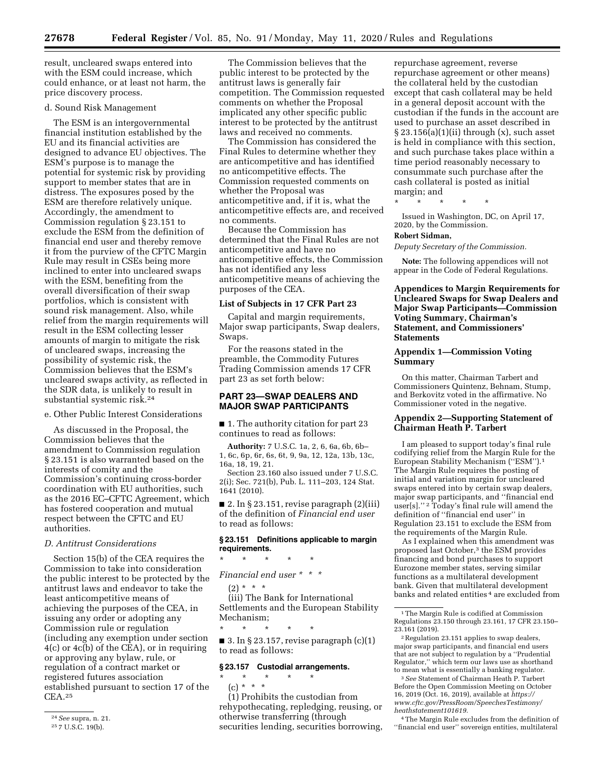result, uncleared swaps entered into with the ESM could increase, which could enhance, or at least not harm, the price discovery process.

### d. Sound Risk Management

The ESM is an intergovernmental financial institution established by the EU and its financial activities are designed to advance EU objectives. The ESM's purpose is to manage the potential for systemic risk by providing support to member states that are in distress. The exposures posed by the ESM are therefore relatively unique. Accordingly, the amendment to Commission regulation § 23.151 to exclude the ESM from the definition of financial end user and thereby remove it from the purview of the CFTC Margin Rule may result in CSEs being more inclined to enter into uncleared swaps with the ESM, benefiting from the overall diversification of their swap portfolios, which is consistent with sound risk management. Also, while relief from the margin requirements will result in the ESM collecting lesser amounts of margin to mitigate the risk of uncleared swaps, increasing the possibility of systemic risk, the Commission believes that the ESM's uncleared swaps activity, as reflected in the SDR data, is unlikely to result in substantial systemic risk.24

e. Other Public Interest Considerations

As discussed in the Proposal, the Commission believes that the amendment to Commission regulation § 23.151 is also warranted based on the interests of comity and the Commission's continuing cross-border coordination with EU authorities, such as the 2016 EC–CFTC Agreement, which has fostered cooperation and mutual respect between the CFTC and EU authorities.

## *D. Antitrust Considerations*

Section 15(b) of the CEA requires the Commission to take into consideration the public interest to be protected by the antitrust laws and endeavor to take the least anticompetitive means of achieving the purposes of the CEA, in issuing any order or adopting any Commission rule or regulation (including any exemption under section 4(c) or 4c(b) of the CEA), or in requiring or approving any bylaw, rule, or regulation of a contract market or registered futures association established pursuant to section 17 of the CEA.25

The Commission believes that the public interest to be protected by the antitrust laws is generally fair competition. The Commission requested comments on whether the Proposal implicated any other specific public interest to be protected by the antitrust laws and received no comments.

The Commission has considered the Final Rules to determine whether they are anticompetitive and has identified no anticompetitive effects. The Commission requested comments on whether the Proposal was anticompetitive and, if it is, what the anticompetitive effects are, and received no comments.

Because the Commission has determined that the Final Rules are not anticompetitive and have no anticompetitive effects, the Commission has not identified any less anticompetitive means of achieving the purposes of the CEA.

### **List of Subjects in 17 CFR Part 23**

Capital and margin requirements, Major swap participants, Swap dealers, Swaps.

For the reasons stated in the preamble, the Commodity Futures Trading Commission amends 17 CFR part 23 as set forth below:

# **PART 23—SWAP DEALERS AND MAJOR SWAP PARTICIPANTS**

■ 1. The authority citation for part 23 continues to read as follows:

**Authority:** 7 U.S.C. 1a, 2, 6, 6a, 6b, 6b– 1, 6c, 6p, 6r, 6s, 6t, 9, 9a, 12, 12a, 13b, 13c, 16a, 18, 19, 21.

Section 23.160 also issued under 7 U.S.C. 2(i); Sec. 721(b), Pub. L. 111–203, 124 Stat. 1641 (2010).

■ 2. In § 23.151, revise paragraph  $(2)(iii)$ of the definition of *Financial end user*  to read as follows:

### **§ 23.151 Definitions applicable to margin requirements.**

\* \* \* \* \*

*Financial end user \* \* \** 

 $(2) * * * *$ 

(iii) The Bank for International Settlements and the European Stability Mechanism; \* \* \* \* \*

 $\blacksquare$  3. In § 23.157, revise paragraph  $(c)(1)$ to read as follows:

### **§ 23.157 Custodial arrangements.**

\* \* \* \* \* (c) \* \* \* (1) Prohibits the custodian from

rehypothecating, repledging, reusing, or otherwise transferring (through securities lending, securities borrowing, repurchase agreement, reverse repurchase agreement or other means) the collateral held by the custodian except that cash collateral may be held in a general deposit account with the custodian if the funds in the account are used to purchase an asset described in  $\S 23.156(a)(1)(ii)$  through  $(x)$ , such asset is held in compliance with this section, and such purchase takes place within a time period reasonably necessary to consummate such purchase after the cash collateral is posted as initial margin; and

\* \* \* \* \*

Issued in Washington, DC, on April 17, 2020, by the Commission.

### **Robert Sidman,**

*Deputy Secretary of the Commission.* 

**Note:** The following appendices will not appear in the Code of Federal Regulations.

**Appendices to Margin Requirements for Uncleared Swaps for Swap Dealers and Major Swap Participants—Commission Voting Summary, Chairman's Statement, and Commissioners' Statements** 

## **Appendix 1—Commission Voting Summary**

On this matter, Chairman Tarbert and Commissioners Quintenz, Behnam, Stump, and Berkovitz voted in the affirmative. No Commissioner voted in the negative.

## **Appendix 2—Supporting Statement of Chairman Heath P. Tarbert**

I am pleased to support today's final rule codifying relief from the Margin Rule for the European Stability Mechanism (''ESM'').1 The Margin Rule requires the posting of initial and variation margin for uncleared swaps entered into by certain swap dealers, major swap participants, and ''financial end user[s].'' 2 Today's final rule will amend the definition of ''financial end user'' in Regulation 23.151 to exclude the ESM from the requirements of the Margin Rule.

As I explained when this amendment was proposed last October,3 the ESM provides financing and bond purchases to support Eurozone member states, serving similar functions as a multilateral development bank. Given that multilateral development banks and related entities 4 are excluded from

2Regulation 23.151 applies to swap dealers, major swap participants, and financial end users that are not subject to regulation by a ''Prudential Regulator,'' which term our laws use as shorthand to mean what is essentially a banking regulator.

3*See* Statement of Chairman Heath P. Tarbert Before the Open Commission Meeting on October 16, 2019 (Oct. 16, 2019), available at *[https://](https://www.cftc.gov/PressRoom/SpeechesTestimony/heathstatement101619) [www.cftc.gov/PressRoom/SpeechesTestimony/](https://www.cftc.gov/PressRoom/SpeechesTestimony/heathstatement101619)  [heathstatement101619.](https://www.cftc.gov/PressRoom/SpeechesTestimony/heathstatement101619)* 

4The Margin Rule excludes from the definition of ''financial end user'' sovereign entities, multilateral

<sup>24</sup>*See* supra, n. 21.

<sup>25</sup> 7 U.S.C. 19(b).

<sup>1</sup>The Margin Rule is codified at Commission Regulations 23.150 through 23.161, 17 CFR 23.150– 23.161 (2019).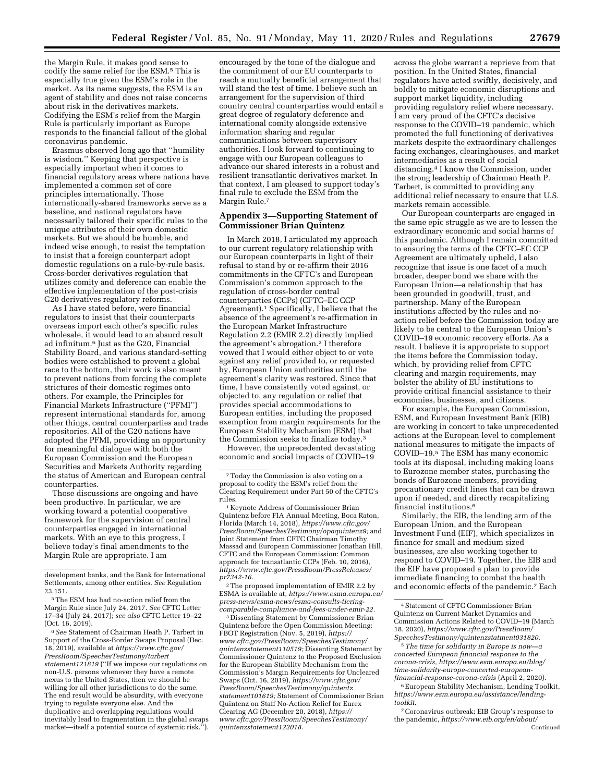the Margin Rule, it makes good sense to codify the same relief for the ESM.5 This is especially true given the ESM's role in the market. As its name suggests, the ESM is an agent of stability and does not raise concerns about risk in the derivatives markets. Codifying the ESM's relief from the Margin Rule is particularly important as Europe responds to the financial fallout of the global coronavirus pandemic.

Erasmus observed long ago that ''humility is wisdom.'' Keeping that perspective is especially important when it comes to financial regulatory areas where nations have implemented a common set of core principles internationally. Those internationally-shared frameworks serve as a baseline, and national regulators have necessarily tailored their specific rules to the unique attributes of their own domestic markets. But we should be humble, and indeed wise enough, to resist the temptation to insist that a foreign counterpart adopt domestic regulations on a rule-by-rule basis. Cross-border derivatives regulation that utilizes comity and deference can enable the effective implementation of the post-crisis G20 derivatives regulatory reforms.

As I have stated before, were financial regulators to insist that their counterparts overseas import each other's specific rules wholesale, it would lead to an absurd result ad infinitum.6 Just as the G20, Financial Stability Board, and various standard-setting bodies were established to prevent a global race to the bottom, their work is also meant to prevent nations from forcing the complete strictures of their domestic regimes onto others. For example, the Principles for Financial Markets Infrastructure (''PFMI'') represent international standards for, among other things, central counterparties and trade repositories. All of the G20 nations have adopted the PFMI, providing an opportunity for meaningful dialogue with both the European Commission and the European Securities and Markets Authority regarding the status of American and European central counterparties.

Those discussions are ongoing and have been productive. In particular, we are working toward a potential cooperative framework for the supervision of central counterparties engaged in international markets. With an eye to this progress, I believe today's final amendments to the Margin Rule are appropriate. I am

6*See* Statement of Chairman Heath P. Tarbert in Support of the Cross-Border Swaps Proposal (Dec. 18, 2019), available at *[https://www.cftc.gov/](https://www.cftc.gov/PressRoom/SpeechesTestimony/tarbertstatement121819)  [PressRoom/SpeechesTestimony/tarbert](https://www.cftc.gov/PressRoom/SpeechesTestimony/tarbertstatement121819) [statement121819](https://www.cftc.gov/PressRoom/SpeechesTestimony/tarbertstatement121819)* (''If we impose our regulations on non-U.S. persons whenever they have a remote nexus to the United States, then we should be willing for all other jurisdictions to do the same. The end result would be absurdity, with everyone trying to regulate everyone else. And the duplicative and overlapping regulations would inevitably lead to fragmentation in the global swaps market—itself a potential source of systemic risk.'').

encouraged by the tone of the dialogue and the commitment of our EU counterparts to reach a mutually beneficial arrangement that will stand the test of time. I believe such an arrangement for the supervision of third country central counterparties would entail a great degree of regulatory deference and international comity alongside extensive information sharing and regular communications between supervisory authorities. I look forward to continuing to engage with our European colleagues to advance our shared interests in a robust and resilient transatlantic derivatives market. In that context, I am pleased to support today's final rule to exclude the ESM from the Margin Rule.7

# **Appendix 3—Supporting Statement of Commissioner Brian Quintenz**

In March 2018, I articulated my approach to our current regulatory relationship with our European counterparts in light of their refusal to stand by or re-affirm their 2016 commitments in the CFTC's and European Commission's common approach to the regulation of cross-border central counterparties (CCPs) (CFTC–EC CCP Agreement).1 Specifically, I believe that the absence of the agreement's re-affirmation in the European Market Infrastructure Regulation 2.2 (EMIR 2.2) directly implied the agreement's abrogation.2 I therefore vowed that I would either object to or vote against any relief provided to, or requested by, European Union authorities until the agreement's clarity was restored. Since that time, I have consistently voted against, or objected to, any regulation or relief that provides special accommodations to European entities, including the proposed exemption from margin requirements for the European Stability Mechanism (ESM) that the Commission seeks to finalize today.3

However, the unprecedented devastating economic and social impacts of COVID–19

2The proposed implementation of EMIR 2.2 by ESMA is available at, *[https://www.esma.europa.eu/](https://www.esma.europa.eu/press-news/esma-news/esma-consults-tiering-comparable-compliance-and-fees-under-emir-22)  [press-news/esma-news/esma-consults-tiering](https://www.esma.europa.eu/press-news/esma-news/esma-consults-tiering-comparable-compliance-and-fees-under-emir-22)[comparable-compliance-and-fees-under-emir-22.](https://www.esma.europa.eu/press-news/esma-news/esma-consults-tiering-comparable-compliance-and-fees-under-emir-22)* 

3 Dissenting Statement by Commissioner Brian Quintenz before the Open Commission Meeting: FBOT Registration (Nov. 5, 2019), *[https://](https://www.cftc.gov/PressRoom/SpeechesTestimony/quintenzstatement110519) [www.cftc.gov/PressRoom/SpeechesTestimony/](https://www.cftc.gov/PressRoom/SpeechesTestimony/quintenzstatement110519)  [quintenzstatement110519;](https://www.cftc.gov/PressRoom/SpeechesTestimony/quintenzstatement110519)* Dissenting Statement by Commissioner Quintenz to the Proposed Exclusion for the European Stability Mechanism from the Commission's Margin Requirements for Uncleared Swaps (Oct. 16, 2019), *[https://www.cftc.gov/](https://www.cftc.gov/PressRoom/SpeechesTestimony/quintentzstatement101619)  [PressRoom/SpeechesTestimony/quintentz](https://www.cftc.gov/PressRoom/SpeechesTestimony/quintentzstatement101619) [statement101619;](https://www.cftc.gov/PressRoom/SpeechesTestimony/quintentzstatement101619)* Statement of Commissioner Brian Quintenz on Staff No-Action Relief for Eurex Clearing AG (December 20, 2018), *[https://](https://www.cftc.gov/PressRoom/SpeechesTestimony/quintenzstatement122018) [www.cftc.gov/PressRoom/SpeechesTestimony/](https://www.cftc.gov/PressRoom/SpeechesTestimony/quintenzstatement122018)  [quintenzstatement122018.](https://www.cftc.gov/PressRoom/SpeechesTestimony/quintenzstatement122018)* 

across the globe warrant a reprieve from that position. In the United States, financial regulators have acted swiftly, decisively, and boldly to mitigate economic disruptions and support market liquidity, including providing regulatory relief where necessary. I am very proud of the CFTC's decisive response to the COVID–19 pandemic, which promoted the full functioning of derivatives markets despite the extraordinary challenges facing exchanges, clearinghouses, and market intermediaries as a result of social distancing.4 I know the Commission, under the strong leadership of Chairman Heath P. Tarbert, is committed to providing any additional relief necessary to ensure that U.S. markets remain accessible.

Our European counterparts are engaged in the same epic struggle as we are to lessen the extraordinary economic and social harms of this pandemic. Although I remain committed to ensuring the terms of the CFTC–EC CCP Agreement are ultimately upheld, I also recognize that issue is one facet of a much broader, deeper bond we share with the European Union—a relationship that has been grounded in goodwill, trust, and partnership. Many of the European institutions affected by the rules and noaction relief before the Commission today are likely to be central to the European Union's COVID–19 economic recovery efforts. As a result, I believe it is appropriate to support the items before the Commission today, which, by providing relief from CFTC clearing and margin requirements, may bolster the ability of EU institutions to provide critical financial assistance to their economies, businesses, and citizens.

For example, the European Commission, ESM, and European Investment Bank (EIB) are working in concert to take unprecedented actions at the European level to complement national measures to mitigate the impacts of COVID–19.5 The ESM has many economic tools at its disposal, including making loans to Eurozone member states, purchasing the bonds of Eurozone members, providing precautionary credit lines that can be drawn upon if needed, and directly recapitalizing financial institutions.6

Similarly, the EIB, the lending arm of the European Union, and the European Investment Fund (EIF), which specializes in finance for small and medium sized businesses, are also working together to respond to COVID–19. Together, the EIB and the EIF have proposed a plan to provide immediate financing to combat the health and economic effects of the pandemic.7 Each

5*The time for solidarity in Europe is now—a concerted European financial response to the corona-crisis, [https://www.esm.europa.eu/blog/](https://www.esm.europa.eu/blog/time-solidarity-europe-concerted-european-financial-response-corona-crisis)  [time-solidarity-europe-concerted-european](https://www.esm.europa.eu/blog/time-solidarity-europe-concerted-european-financial-response-corona-crisis)[financial-response-corona-crisis](https://www.esm.europa.eu/blog/time-solidarity-europe-concerted-european-financial-response-corona-crisis)* (April 2, 2020).

6European Stability Mechanism, Lending Toolkit, *https://www.esm.europa.eu/assistance/lendingtoolkit.* 

7Coronavirus outbreak: EIB Group's response to the pandemic, *[https://www.eib.org/en/about/](https://www.eib.org/en/about/initiatives/covid-19-response/index.htm)*  Continued

development banks, and the Bank for International Settlements, among other entities. *See* Regulation 23.151.

<sup>5</sup>The ESM has had no-action relief from the Margin Rule since July 24, 2017. *See* CFTC Letter 17–34 (July 24, 2017); *see also* CFTC Letter 19–22 (Oct. 16, 2019).

<sup>7</sup>Today the Commission is also voting on a proposal to codify the ESM's relief from the Clearing Requirement under Part 50 of the CFTC's

<sup>&</sup>lt;sup>1</sup> Keynote Address of Commissioner Brian Quintenz before FIA Annual Meeting, Boca Raton, Florida (March 14, 2018), *[https://www.cftc.gov/](https://www.cftc.gov/PressRoom/SpeechesTestimony/opaquintenz9)  [PressRoom/SpeechesTestimony/opaquintenz9;](https://www.cftc.gov/PressRoom/SpeechesTestimony/opaquintenz9)* and Joint Statement from CFTC Chairman Timothy Massad and European Commissioner Jonathan Hill, CFTC and the European Commission: Common approach for transatlantic CCPs (Feb. 10, 2016), *[https://www.cftc.gov/PressRoom/PressReleases/](https://www.cftc.gov/PressRoom/PressReleases/pr7342-16) [pr7342-16.](https://www.cftc.gov/PressRoom/PressReleases/pr7342-16)* 

<sup>4</sup>Statement of CFTC Commissioner Brian Quintenz on Current Market Dynamics and Commission Actions Related to COVID–19 (March 18, 2020), *[https://www.cftc.gov/PressRoom/](https://www.cftc.gov/PressRoom/SpeechesTestimony/quintenzstatment031820)  [SpeechesTestimony/quintenzstatment031820.](https://www.cftc.gov/PressRoom/SpeechesTestimony/quintenzstatment031820)*